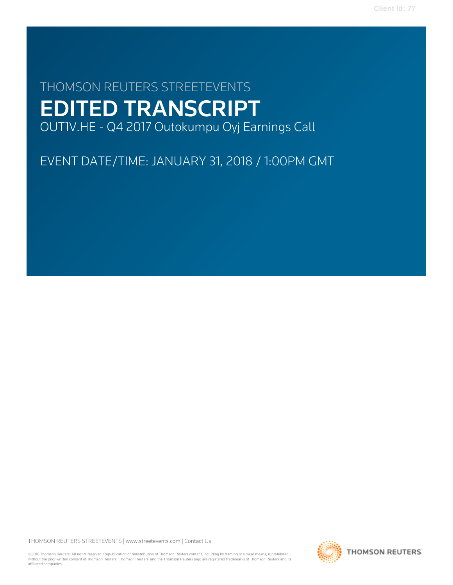# THOMSON REUTERS STREETEVENTS EDITED TRANSCRIPT OUT1V.HE - Q4 2017 Outokumpu Oyj Earnings Call

EVENT DATE/TIME: JANUARY 31, 2018 / 1:00PM GMT

THOMSON REUTERS STREETEVENTS | [www.streetevents.com](http://www.streetevents.com) | [Contact Us](http://www010.streetevents.com/contact.asp)

©2018 Thomson Reuters. All rights reserved. Republication or redistribution of Thomson Reuters content, including by framing or similar means, is prohibited without the prior written consent of Thomson Reuters. 'Thomson Reuters' and the Thomson Reuters logo are registered trademarks of Thomson Reuters and its affiliated companies.

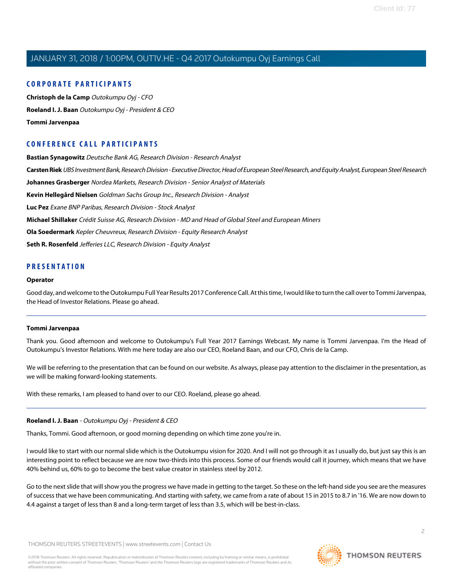# **CORPORATE PARTICIPANTS**

**[Christoph de la Camp](#page-3-0)** Outokumpu Oyj - CFO **[Roeland I. J. Baan](#page-1-0)** Outokumpu Oyj - President & CEO **[Tommi Jarvenpaa](#page-1-1)**

# **CONFERENCE CALL PARTICIPANTS**

**[Bastian Synagowitz](#page-10-0)** Deutsche Bank AG, Research Division - Research Analyst **[Carsten Riek](#page-13-0)** UBS Investment Bank, Research Division - Executive Director, Head of European Steel Research, and Equity Analyst, European Steel Research **[Johannes Grasberger](#page-12-0)** Nordea Markets, Research Division - Senior Analyst of Materials **[Kevin Hellegård Nielsen](#page-15-0)** Goldman Sachs Group Inc., Research Division - Analyst **[Luc Pez](#page-6-0)** Exane BNP Paribas, Research Division - Stock Analyst **[Michael Shillaker](#page-9-0)** Crédit Suisse AG, Research Division - MD and Head of Global Steel and European Miners **[Ola Soedermark](#page-11-0)** Kepler Cheuvreux, Research Division - Equity Research Analyst **[Seth R. Rosenfeld](#page-7-0)** Jefferies LLC, Research Division - Equity Analyst

### **PRESENTATION**

#### **Operator**

<span id="page-1-1"></span>Good day, and welcome to the Outokumpu Full Year Results 2017 Conference Call. At this time, I would like to turn the call over to Tommi Jarvenpaa, the Head of Investor Relations. Please go ahead.

### **Tommi Jarvenpaa**

Thank you. Good afternoon and welcome to Outokumpu's Full Year 2017 Earnings Webcast. My name is Tommi Jarvenpaa. I'm the Head of Outokumpu's Investor Relations. With me here today are also our CEO, Roeland Baan, and our CFO, Chris de la Camp.

<span id="page-1-0"></span>We will be referring to the presentation that can be found on our website. As always, please pay attention to the disclaimer in the presentation, as we will be making forward-looking statements.

With these remarks, I am pleased to hand over to our CEO. Roeland, please go ahead.

### **Roeland I. J. Baan** - Outokumpu Oyj - President & CEO

Thanks, Tommi. Good afternoon, or good morning depending on which time zone you're in.

I would like to start with our normal slide which is the Outokumpu vision for 2020. And I will not go through it as I usually do, but just say this is an interesting point to reflect because we are now two-thirds into this process. Some of our friends would call it journey, which means that we have 40% behind us, 60% to go to become the best value creator in stainless steel by 2012.

Go to the next slide that will show you the progress we have made in getting to the target. So these on the left-hand side you see are the measures of success that we have been communicating. And starting with safety, we came from a rate of about 15 in 2015 to 8.7 in '16. We are now down to 4.4 against a target of less than 8 and a long-term target of less than 3.5, which will be best-in-class.

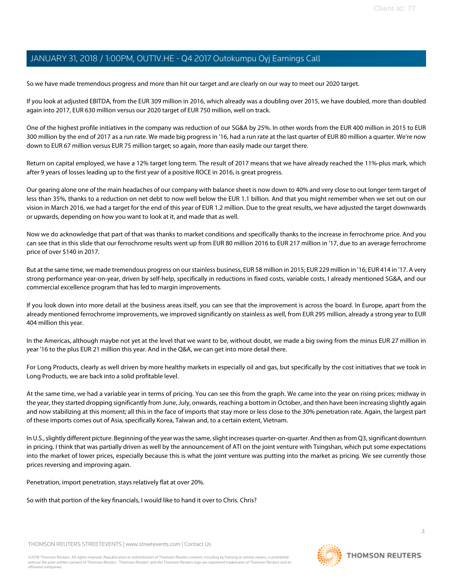So we have made tremendous progress and more than hit our target and are clearly on our way to meet our 2020 target.

If you look at adjusted EBITDA, from the EUR 309 million in 2016, which already was a doubling over 2015, we have doubled, more than doubled again into 2017, EUR 630 million versus our 2020 target of EUR 750 million, well on track.

One of the highest profile initiatives in the company was reduction of our SG&A by 25%. In other words from the EUR 400 million in 2015 to EUR 300 million by the end of 2017 as a run rate. We made big progress in '16, had a run rate at the last quarter of EUR 80 million a quarter. We're now down to EUR 67 million versus EUR 75 million target; so again, more than easily made our target there.

Return on capital employed, we have a 12% target long term. The result of 2017 means that we have already reached the 11%-plus mark, which after 9 years of losses leading up to the first year of a positive ROCE in 2016, is great progress.

Our gearing alone one of the main headaches of our company with balance sheet is now down to 40% and very close to out longer term target of less than 35%, thanks to a reduction on net debt to now well below the EUR 1.1 billion. And that you might remember when we set out on our vision in March 2016, we had a target for the end of this year of EUR 1.2 million. Due to the great results, we have adjusted the target downwards or upwards, depending on how you want to look at it, and made that as well.

Now we do acknowledge that part of that was thanks to market conditions and specifically thanks to the increase in ferrochrome price. And you can see that in this slide that our ferrochrome results went up from EUR 80 million 2016 to EUR 217 million in '17, due to an average ferrochrome price of over \$140 in 2017.

But at the same time, we made tremendous progress on our stainless business, EUR 58 million in 2015; EUR 229 million in '16; EUR 414 in '17. A very strong performance year-on-year, driven by self-help, specifically in reductions in fixed costs, variable costs, I already mentioned SG&A, and our commercial excellence program that has led to margin improvements.

If you look down into more detail at the business areas itself, you can see that the improvement is across the board. In Europe, apart from the already mentioned ferrochrome improvements, we improved significantly on stainless as well, from EUR 295 million, already a strong year to EUR 404 million this year.

In the Americas, although maybe not yet at the level that we want to be, without doubt, we made a big swing from the minus EUR 27 million in year '16 to the plus EUR 21 million this year. And in the Q&A, we can get into more detail there.

For Long Products, clearly as well driven by more healthy markets in especially oil and gas, but specifically by the cost initiatives that we took in Long Products, we are back into a solid profitable level.

At the same time, we had a variable year in terms of pricing. You can see this from the graph. We came into the year on rising prices; midway in the year, they started dropping significantly from June, July, onwards, reaching a bottom in October, and then have been increasing slightly again and now stabilizing at this moment; all this in the face of imports that stay more or less close to the 30% penetration rate. Again, the largest part of these imports comes out of Asia, specifically Korea, Taiwan and, to a certain extent, Vietnam.

In U.S., slightly different picture. Beginning of the year was the same, slight increases quarter-on-quarter. And then as from Q3, significant downturn in pricing. I think that was partially driven as well by the announcement of ATI on the joint venture with Tsingshan, which put some expectations into the market of lower prices, especially because this is what the joint venture was putting into the market as pricing. We see currently those prices reversing and improving again.

Penetration, import penetration, stays relatively flat at over 20%.

So with that portion of the key financials, I would like to hand it over to Chris. Chris?

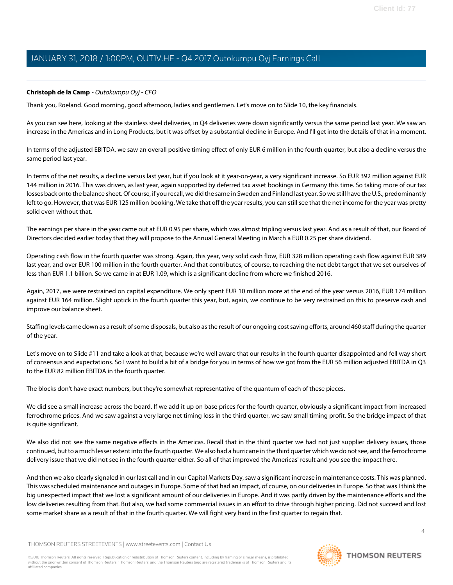# <span id="page-3-0"></span>**Christoph de la Camp** - Outokumpu Oyj - CFO

Thank you, Roeland. Good morning, good afternoon, ladies and gentlemen. Let's move on to Slide 10, the key financials.

As you can see here, looking at the stainless steel deliveries, in Q4 deliveries were down significantly versus the same period last year. We saw an increase in the Americas and in Long Products, but it was offset by a substantial decline in Europe. And I'll get into the details of that in a moment.

In terms of the adjusted EBITDA, we saw an overall positive timing effect of only EUR 6 million in the fourth quarter, but also a decline versus the same period last year.

In terms of the net results, a decline versus last year, but if you look at it year-on-year, a very significant increase. So EUR 392 million against EUR 144 million in 2016. This was driven, as last year, again supported by deferred tax asset bookings in Germany this time. So taking more of our tax losses back onto the balance sheet. Of course, if you recall, we did the same in Sweden and Finland last year. So we still have the U.S., predominantly left to go. However, that was EUR 125 million booking. We take that off the year results, you can still see that the net income for the year was pretty solid even without that.

The earnings per share in the year came out at EUR 0.95 per share, which was almost tripling versus last year. And as a result of that, our Board of Directors decided earlier today that they will propose to the Annual General Meeting in March a EUR 0.25 per share dividend.

Operating cash flow in the fourth quarter was strong. Again, this year, very solid cash flow, EUR 328 million operating cash flow against EUR 389 last year, and over EUR 100 million in the fourth quarter. And that contributes, of course, to reaching the net debt target that we set ourselves of less than EUR 1.1 billion. So we came in at EUR 1.09, which is a significant decline from where we finished 2016.

Again, 2017, we were restrained on capital expenditure. We only spent EUR 10 million more at the end of the year versus 2016, EUR 174 million against EUR 164 million. Slight uptick in the fourth quarter this year, but, again, we continue to be very restrained on this to preserve cash and improve our balance sheet.

Staffing levels came down as a result of some disposals, but also as the result of our ongoing cost saving efforts, around 460 staff during the quarter of the year.

Let's move on to Slide #11 and take a look at that, because we're well aware that our results in the fourth quarter disappointed and fell way short of consensus and expectations. So I want to build a bit of a bridge for you in terms of how we got from the EUR 56 million adjusted EBITDA in Q3 to the EUR 82 million EBITDA in the fourth quarter.

The blocks don't have exact numbers, but they're somewhat representative of the quantum of each of these pieces.

We did see a small increase across the board. If we add it up on base prices for the fourth quarter, obviously a significant impact from increased ferrochrome prices. And we saw against a very large net timing loss in the third quarter, we saw small timing profit. So the bridge impact of that is quite significant.

We also did not see the same negative effects in the Americas. Recall that in the third quarter we had not just supplier delivery issues, those continued, but to a much lesser extent into the fourth quarter. We also had a hurricane in the third quarter which we do not see, and the ferrochrome delivery issue that we did not see in the fourth quarter either. So all of that improved the Americas' result and you see the impact here.

And then we also clearly signaled in our last call and in our Capital Markets Day, saw a significant increase in maintenance costs. This was planned. This was scheduled maintenance and outages in Europe. Some of that had an impact, of course, on our deliveries in Europe. So that was I think the big unexpected impact that we lost a significant amount of our deliveries in Europe. And it was partly driven by the maintenance efforts and the low deliveries resulting from that. But also, we had some commercial issues in an effort to drive through higher pricing. Did not succeed and lost some market share as a result of that in the fourth quarter. We will fight very hard in the first quarter to regain that.

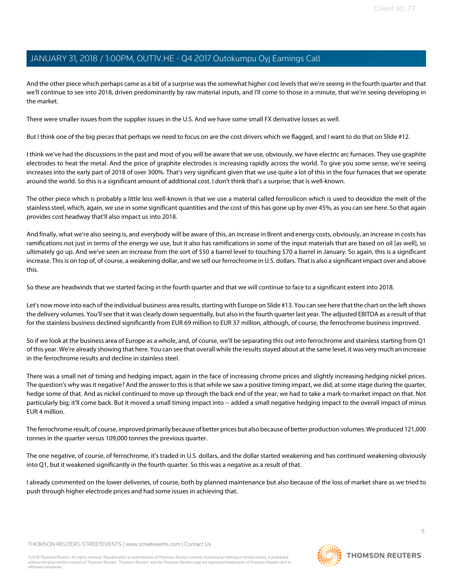And the other piece which perhaps came as a bit of a surprise was the somewhat higher cost levels that we're seeing in the fourth quarter and that we'll continue to see into 2018, driven predominantly by raw material inputs, and I'll come to those in a minute, that we're seeing developing in the market.

There were smaller issues from the supplier issues in the U.S. And we have some small FX derivative losses as well.

But I think one of the big pieces that perhaps we need to focus on are the cost drivers which we flagged, and I want to do that on Slide #12.

I think we've had the discussions in the past and most of you will be aware that we use, obviously, we have electric arc furnaces. They use graphite electrodes to heat the metal. And the price of graphite electrodes is increasing rapidly across the world. To give you some sense, we're seeing increases into the early part of 2018 of over 300%. That's very significant given that we use quite a lot of this in the four furnaces that we operate around the world. So this is a significant amount of additional cost. I don't think that's a surprise; that is well-known.

The other piece which is probably a little less well-known is that we use a material called ferrosilicon which is used to deoxidize the melt of the stainless steel, which, again, we use in some significant quantities and the cost of this has gone up by over 45%, as you can see here. So that again provides cost headway that'll also impact us into 2018.

And finally, what we're also seeing is, and everybody will be aware of this, an increase in Brent and energy costs, obviously, an increase in costs has ramifications not just in terms of the energy we use, but it also has ramifications in some of the input materials that are based on oil [as well], so ultimately go up. And we've seen an increase from the sort of \$50 a barrel level to touching \$70 a barrel in January. So again, this is a significant increase. This is on top of, of course, a weakening dollar, and we sell our ferrochrome in U.S. dollars. That is also a significant impact over and above this.

So these are headwinds that we started facing in the fourth quarter and that we will continue to face to a significant extent into 2018.

Let's now move into each of the individual business area results, starting with Europe on Slide #13. You can see here that the chart on the left shows the delivery volumes. You'll see that it was clearly down sequentially, but also in the fourth quarter last year. The adjusted EBITDA as a result of that for the stainless business declined significantly from EUR 69 million to EUR 37 million, although, of course, the ferrochrome business improved.

So if we look at the business area of Europe as a whole, and, of course, we'll be separating this out into ferrochrome and stainless starting from Q1 of this year. We're already showing that here. You can see that overall while the results stayed about at the same level, it was very much an increase in the ferrochrome results and decline in stainless steel.

There was a small net of timing and hedging impact, again in the face of increasing chrome prices and slightly increasing hedging nickel prices. The question's why was it negative? And the answer to this is that while we saw a positive timing impact, we did, at some stage during the quarter, hedge some of that. And as nickel continued to move up through the back end of the year, we had to take a mark-to-market impact on that. Not particularly big; it'll come back. But it moved a small timing impact into -- added a small negative hedging impact to the overall impact of minus EUR 4 million.

The ferrochrome result, of course, improved primarily because of better prices but also because of better production volumes. We produced 121,000 tonnes in the quarter versus 109,000 tonnes the previous quarter.

The one negative, of course, of ferrochrome, it's traded in U.S. dollars, and the dollar started weakening and has continued weakening obviously into Q1, but it weakened significantly in the fourth quarter. So this was a negative as a result of that.

I already commented on the lower deliveries, of course, both by planned maintenance but also because of the loss of market share as we tried to push through higher electrode prices and had some issues in achieving that.

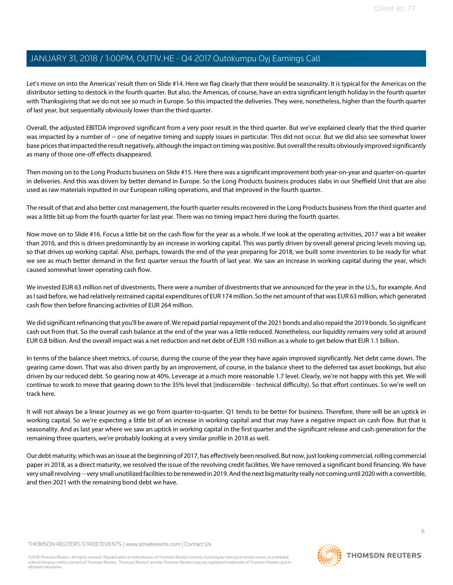Let's move on into the Americas' result then on Slide #14. Here we flag clearly that there would be seasonality. It is typical for the Americas on the distributor setting to destock in the fourth quarter. But also, the Americas, of course, have an extra significant length holiday in the fourth quarter with Thanksgiving that we do not see so much in Europe. So this impacted the deliveries. They were, nonetheless, higher than the fourth quarter of last year, but sequentially obviously lower than the third quarter.

Overall, the adjusted EBITDA improved significant from a very poor result in the third quarter. But we've explained clearly that the third quarter was impacted by a number of -- one of negative timing and supply issues in particular. This did not occur. But we did also see somewhat lower base prices that impacted the result negatively, although the impact on timing was positive. But overall the results obviously improved significantly as many of those one-off effects disappeared.

Then moving on to the Long Products business on Slide #15. Here there was a significant improvement both year-on-year and quarter-on-quarter in deliveries. And this was driven by better demand in Europe. So the Long Products business produces slabs in our Sheffield Unit that are also used as raw materials inputted in our European rolling operations, and that improved in the fourth quarter.

The result of that and also better cost management, the fourth quarter results recovered in the Long Products business from the third quarter and was a little bit up from the fourth quarter for last year. There was no timing impact here during the fourth quarter.

Now move on to Slide #16. Focus a little bit on the cash flow for the year as a whole. If we look at the operating activities, 2017 was a bit weaker than 2016, and this is driven predominantly by an increase in working capital. This was partly driven by overall general pricing levels moving up, so that drives up working capital. Also, perhaps, towards the end of the year preparing for 2018, we built some inventories to be ready for what we see as much better demand in the first quarter versus the fourth of last year. We saw an increase in working capital during the year, which caused somewhat lower operating cash flow.

We invested EUR 63 million net of divestments. There were a number of divestments that we announced for the year in the U.S., for example. And as I said before, we had relatively restrained capital expenditures of EUR 174 million. So the net amount of that was EUR 63 million, which generated cash flow then before financing activities of EUR 264 million.

We did significant refinancing that you'll be aware of. We repaid partial repayment of the 2021 bonds and also repaid the 2019 bonds. So significant cash out from that. So the overall cash balance at the end of the year was a little reduced. Nonetheless, our liquidity remains very solid at around EUR 0.8 billion. And the overall impact was a net reduction and net debt of EUR 150 million as a whole to get below that EUR 1.1 billion.

In terms of the balance sheet metrics, of course, during the course of the year they have again improved significantly. Net debt came down. The gearing came down. That was also driven partly by an improvement, of course, in the balance sheet to the deferred tax asset bookings, but also driven by our reduced debt. So gearing now at 40%. Leverage at a much more reasonable 1.7 level. Clearly, we're not happy with this yet. We will continue to work to move that gearing down to the 35% level that [indiscernible - technical difficulty). So that effort continues. So we're well on track here.

It will not always be a linear journey as we go from quarter-to-quarter. Q1 tends to be better for business. Therefore, there will be an uptick in working capital. So we're expecting a little bit of an increase in working capital and that may have a negative impact on cash flow. But that is seasonality. And as last year where we saw an uptick in working capital in the first quarter and the significant release and cash generation for the remaining three quarters, we're probably looking at a very similar profile in 2018 as well.

Our debt maturity, which was an issue at the beginning of 2017, has effectively been resolved. But now, just looking commercial, rolling commercial paper in 2018, as a direct maturity, we resolved the issue of the revolving credit facilities. We have removed a significant bond financing. We have very small revolving -- very small unutilized facilities to be renewed in 2019. And the next big maturity really not coming until 2020 with a convertible, and then 2021 with the remaining bond debt we have.

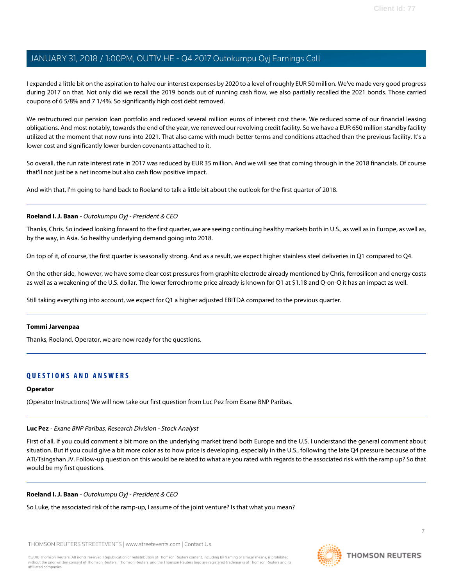I expanded a little bit on the aspiration to halve our interest expenses by 2020 to a level of roughly EUR 50 million. We've made very good progress during 2017 on that. Not only did we recall the 2019 bonds out of running cash flow, we also partially recalled the 2021 bonds. Those carried coupons of 6 5/8% and 7 1/4%. So significantly high cost debt removed.

We restructured our pension loan portfolio and reduced several million euros of interest cost there. We reduced some of our financial leasing obligations. And most notably, towards the end of the year, we renewed our revolving credit facility. So we have a EUR 650 million standby facility utilized at the moment that now runs into 2021. That also came with much better terms and conditions attached than the previous facility. It's a lower cost and significantly lower burden covenants attached to it.

So overall, the run rate interest rate in 2017 was reduced by EUR 35 million. And we will see that coming through in the 2018 financials. Of course that'll not just be a net income but also cash flow positive impact.

And with that, I'm going to hand back to Roeland to talk a little bit about the outlook for the first quarter of 2018.

### **Roeland I. J. Baan** - Outokumpu Oyj - President & CEO

Thanks, Chris. So indeed looking forward to the first quarter, we are seeing continuing healthy markets both in U.S., as well as in Europe, as well as, by the way, in Asia. So healthy underlying demand going into 2018.

On top of it, of course, the first quarter is seasonally strong. And as a result, we expect higher stainless steel deliveries in Q1 compared to Q4.

On the other side, however, we have some clear cost pressures from graphite electrode already mentioned by Chris, ferrosilicon and energy costs as well as a weakening of the U.S. dollar. The lower ferrochrome price already is known for Q1 at \$1.18 and Q-on-Q it has an impact as well.

Still taking everything into account, we expect for Q1 a higher adjusted EBITDA compared to the previous quarter.

### **Tommi Jarvenpaa**

Thanks, Roeland. Operator, we are now ready for the questions.

# **QUESTIONS AND ANSWERS**

### <span id="page-6-0"></span>**Operator**

(Operator Instructions) We will now take our first question from Luc Pez from Exane BNP Paribas.

### **Luc Pez** - Exane BNP Paribas, Research Division - Stock Analyst

First of all, if you could comment a bit more on the underlying market trend both Europe and the U.S. I understand the general comment about situation. But if you could give a bit more color as to how price is developing, especially in the U.S., following the late Q4 pressure because of the ATI/Tsingshan JV. Follow-up question on this would be related to what are you rated with regards to the associated risk with the ramp up? So that would be my first questions.

### **Roeland I. J. Baan** - Outokumpu Oyj - President & CEO

So Luke, the associated risk of the ramp-up, I assume of the joint venture? Is that what you mean?

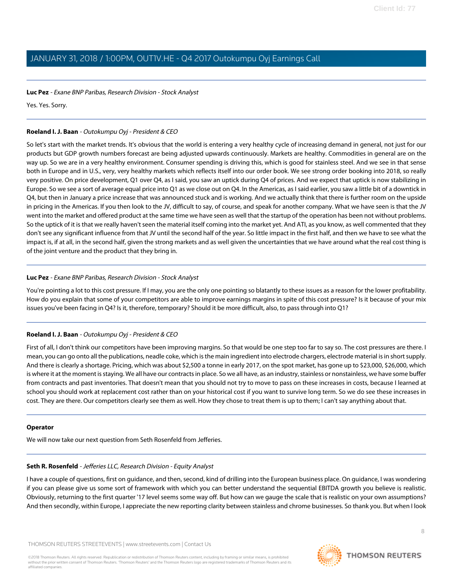### **Luc Pez** - Exane BNP Paribas, Research Division - Stock Analyst

Yes. Yes. Sorry.

# **Roeland I. J. Baan** - Outokumpu Oyj - President & CEO

So let's start with the market trends. It's obvious that the world is entering a very healthy cycle of increasing demand in general, not just for our products but GDP growth numbers forecast are being adjusted upwards continuously. Markets are healthy. Commodities in general are on the way up. So we are in a very healthy environment. Consumer spending is driving this, which is good for stainless steel. And we see in that sense both in Europe and in U.S., very, very healthy markets which reflects itself into our order book. We see strong order booking into 2018, so really very positive. On price development, Q1 over Q4, as I said, you saw an uptick during Q4 of prices. And we expect that uptick is now stabilizing in Europe. So we see a sort of average equal price into Q1 as we close out on Q4. In the Americas, as I said earlier, you saw a little bit of a downtick in Q4, but then in January a price increase that was announced stuck and is working. And we actually think that there is further room on the upside in pricing in the Americas. If you then look to the JV, difficult to say, of course, and speak for another company. What we have seen is that the JV went into the market and offered product at the same time we have seen as well that the startup of the operation has been not without problems. So the uptick of it is that we really haven't seen the material itself coming into the market yet. And ATI, as you know, as well commented that they don't see any significant influence from that JV until the second half of the year. So little impact in the first half, and then we have to see what the impact is, if at all, in the second half, given the strong markets and as well given the uncertainties that we have around what the real cost thing is of the joint venture and the product that they bring in.

### **Luc Pez** - Exane BNP Paribas, Research Division - Stock Analyst

You're pointing a lot to this cost pressure. If I may, you are the only one pointing so blatantly to these issues as a reason for the lower profitability. How do you explain that some of your competitors are able to improve earnings margins in spite of this cost pressure? Is it because of your mix issues you've been facing in Q4? Is it, therefore, temporary? Should it be more difficult, also, to pass through into Q1?

# **Roeland I. J. Baan** - Outokumpu Oyj - President & CEO

First of all, I don't think our competitors have been improving margins. So that would be one step too far to say so. The cost pressures are there. I mean, you can go onto all the publications, neadle coke, which is the main ingredient into electrode chargers, electrode material is in short supply. And there is clearly a shortage. Pricing, which was about \$2,500 a tonne in early 2017, on the spot market, has gone up to \$23,000, \$26,000, which is where it at the moment is staying. We all have our contracts in place. So we all have, as an industry, stainless or nonstainless, we have some buffer from contracts and past inventories. That doesn't mean that you should not try to move to pass on these increases in costs, because I learned at school you should work at replacement cost rather than on your historical cost if you want to survive long term. So we do see these increases in cost. They are there. Our competitors clearly see them as well. How they chose to treat them is up to them; I can't say anything about that.

### <span id="page-7-0"></span>**Operator**

We will now take our next question from Seth Rosenfeld from Jefferies.

### **Seth R. Rosenfeld** - Jefferies LLC, Research Division - Equity Analyst

I have a couple of questions, first on guidance, and then, second, kind of drilling into the European business place. On guidance, I was wondering if you can please give us some sort of framework with which you can better understand the sequential EBITDA growth you believe is realistic. Obviously, returning to the first quarter '17 level seems some way off. But how can we gauge the scale that is realistic on your own assumptions? And then secondly, within Europe, I appreciate the new reporting clarity between stainless and chrome businesses. So thank you. But when I look

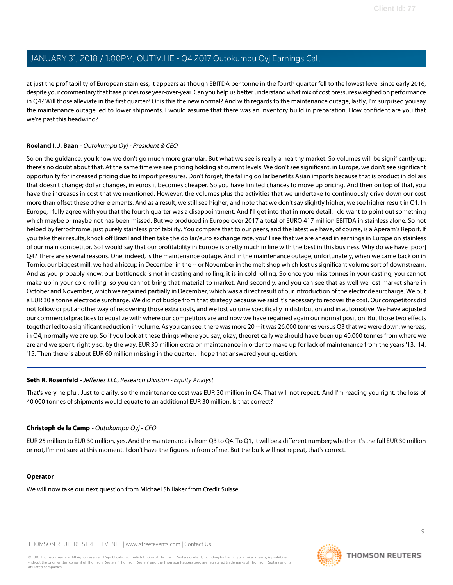at just the profitability of European stainless, it appears as though EBITDA per tonne in the fourth quarter fell to the lowest level since early 2016, despite your commentary that base prices rose year-over-year. Can you help us better understand what mix of cost pressures weighed on performance in Q4? Will those alleviate in the first quarter? Or is this the new normal? And with regards to the maintenance outage, lastly, I'm surprised you say the maintenance outage led to lower shipments. I would assume that there was an inventory build in preparation. How confident are you that we're past this headwind?

# **Roeland I. J. Baan** - Outokumpu Oyj - President & CEO

So on the guidance, you know we don't go much more granular. But what we see is really a healthy market. So volumes will be significantly up; there's no doubt about that. At the same time we see pricing holding at current levels. We don't see significant, in Europe, we don't see significant opportunity for increased pricing due to import pressures. Don't forget, the falling dollar benefits Asian imports because that is product in dollars that doesn't change; dollar changes, in euros it becomes cheaper. So you have limited chances to move up pricing. And then on top of that, you have the increases in cost that we mentioned. However, the volumes plus the activities that we undertake to continuously drive down our cost more than offset these other elements. And as a result, we still see higher, and note that we don't say slightly higher, we see higher result in Q1. In Europe, I fully agree with you that the fourth quarter was a disappointment. And I'll get into that in more detail. I do want to point out something which maybe or maybe not has been missed. But we produced in Europe over 2017 a total of EURO 417 million EBITDA in stainless alone. So not helped by ferrochrome, just purely stainless profitability. You compare that to our peers, and the latest we have, of course, is a Aperam's Report. If you take their results, knock off Brazil and then take the dollar/euro exchange rate, you'll see that we are ahead in earnings in Europe on stainless of our main competitor. So I would say that our profitability in Europe is pretty much in line with the best in this business. Why do we have [poor] Q4? There are several reasons. One, indeed, is the maintenance outage. And in the maintenance outage, unfortunately, when we came back on in Tornio, our biggest mill, we had a hiccup in December in the -- or November in the melt shop which lost us significant volume sort of downstream. And as you probably know, our bottleneck is not in casting and rolling, it is in cold rolling. So once you miss tonnes in your casting, you cannot make up in your cold rolling, so you cannot bring that material to market. And secondly, and you can see that as well we lost market share in October and November, which we regained partially in December, which was a direct result of our introduction of the electrode surcharge. We put a EUR 30 a tonne electrode surcharge. We did not budge from that strategy because we said it's necessary to recover the cost. Our competitors did not follow or put another way of recovering those extra costs, and we lost volume specifically in distribution and in automotive. We have adjusted our commercial practices to equalize with where our competitors are and now we have regained again our normal position. But those two effects together led to a significant reduction in volume. As you can see, there was more 20 -- it was 26,000 tonnes versus Q3 that we were down; whereas, in Q4, normally we are up. So if you look at these things where you say, okay, theoretically we should have been up 40,000 tonnes from where we are and we spent, rightly so, by the way, EUR 30 million extra on maintenance in order to make up for lack of maintenance from the years '13, '14, '15. Then there is about EUR 60 million missing in the quarter. I hope that answered your question.

# **Seth R. Rosenfeld** - Jefferies LLC, Research Division - Equity Analyst

That's very helpful. Just to clarify, so the maintenance cost was EUR 30 million in Q4. That will not repeat. And I'm reading you right, the loss of 40,000 tonnes of shipments would equate to an additional EUR 30 million. Is that correct?

### **Christoph de la Camp** - Outokumpu Oyj - CFO

EUR 25 million to EUR 30 million, yes. And the maintenance is from Q3 to Q4. To Q1, it will be a different number; whether it's the full EUR 30 million or not, I'm not sure at this moment. I don't have the figures in from of me. But the bulk will not repeat, that's correct.

### **Operator**

We will now take our next question from Michael Shillaker from Credit Suisse.



**THOMSON REUTERS**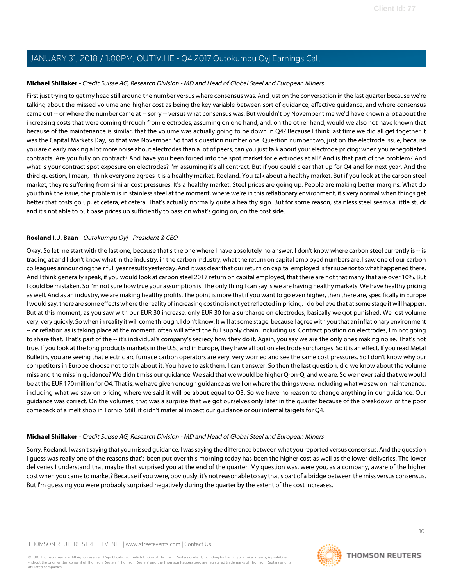### <span id="page-9-0"></span>**Michael Shillaker** - Crédit Suisse AG, Research Division - MD and Head of Global Steel and European Miners

First just trying to get my head still around the number versus where consensus was. And just on the conversation in the last quarter because we're talking about the missed volume and higher cost as being the key variable between sort of guidance, effective guidance, and where consensus came out -- or where the number came at -- sorry -- versus what consensus was. But wouldn't by November time we'd have known a lot about the increasing costs that were coming through from electrodes, assuming on one hand, and, on the other hand, would we also not have known that because of the maintenance is similar, that the volume was actually going to be down in Q4? Because I think last time we did all get together it was the Capital Markets Day, so that was November. So that's question number one. Question number two, just on the electrode issue, because you are clearly making a lot more noise about electrodes than a lot of peers, can you just talk about your electrode pricing: when you renegotiated contracts. Are you fully on contract? And have you been forced into the spot market for electrodes at all? And is that part of the problem? And what is your contract spot exposure on electrodes? I'm assuming it's all contract. But if you could clear that up for Q4 and for next year. And the third question, I mean, I think everyone agrees it is a healthy market, Roeland. You talk about a healthy market. But if you look at the carbon steel market, they're suffering from similar cost pressures. It's a healthy market. Steel prices are going up. People are making better margins. What do you think the issue, the problem is in stainless steel at the moment, where we're in this reflationary environment, it's very normal when things get better that costs go up, et cetera, et cetera. That's actually normally quite a healthy sign. But for some reason, stainless steel seems a little stuck and it's not able to put base prices up sufficiently to pass on what's going on, on the cost side.

### **Roeland I. J. Baan** - Outokumpu Oyj - President & CEO

Okay. So let me start with the last one, because that's the one where I have absolutely no answer. I don't know where carbon steel currently is -- is trading at and I don't know what in the industry, in the carbon industry, what the return on capital employed numbers are. I saw one of our carbon colleagues announcing their full year results yesterday. And it was clear that our return on capital employed is far superior to what happened there. And I think generally speak, if you would look at carbon steel 2017 return on capital employed, that there are not that many that are over 10%. But I could be mistaken. So I'm not sure how true your assumption is. The only thing I can say is we are having healthy markets. We have healthy pricing as well. And as an industry, we are making healthy profits. The point is more that if you want to go even higher, then there are, specifically in Europe I would say, there are some effects where the reality of increasing costing is not yet reflected in pricing. I do believe that at some stage it will happen. But at this moment, as you saw with our EUR 30 increase, only EUR 30 for a surcharge on electrodes, basically we got punished. We lost volume very, very quickly. So when in reality it will come through, I don't know. It will at some stage, because I agree with you that an inflationary environment -- or reflation as is taking place at the moment, often will affect the full supply chain, including us. Contract position on electrodes, I'm not going to share that. That's part of the -- it's individual's company's secrecy how they do it. Again, you say we are the only ones making noise. That's not true. If you look at the long products markets in the U.S., and in Europe, they have all put on electrode surcharges. So it is an effect. If you read Metal Bulletin, you are seeing that electric arc furnace carbon operators are very, very worried and see the same cost pressures. So I don't know why our competitors in Europe choose not to talk about it. You have to ask them. I can't answer. So then the last question, did we know about the volume miss and the miss in guidance? We didn't miss our guidance. We said that we would be higher Q-on-Q, and we are. So we never said that we would be at the EUR 170 million for Q4. That is, we have given enough guidance as well on where the things were, including what we saw on maintenance, including what we saw on pricing where we said it will be about equal to Q3. So we have no reason to change anything in our guidance. Our guidance was correct. On the volumes, that was a surprise that we got ourselves only later in the quarter because of the breakdown or the poor comeback of a melt shop in Tornio. Still, it didn't material impact our guidance or our internal targets for Q4.

### **Michael Shillaker** - Crédit Suisse AG, Research Division - MD and Head of Global Steel and European Miners

Sorry, Roeland. I wasn't saying that you missed guidance. I was saying the difference between what you reported versus consensus. And the question I guess was really one of the reasons that's been put over this morning today has been the higher cost as well as the lower deliveries. The lower deliveries I understand that maybe that surprised you at the end of the quarter. My question was, were you, as a company, aware of the higher cost when you came to market? Because if you were, obviously, it's not reasonable to say that's part of a bridge between the miss versus consensus. But I'm guessing you were probably surprised negatively during the quarter by the extent of the cost increases.

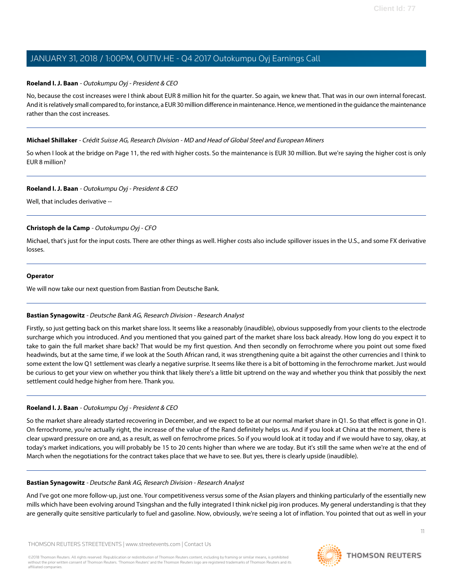# **Roeland I. J. Baan** - Outokumpu Oyj - President & CEO

No, because the cost increases were I think about EUR 8 million hit for the quarter. So again, we knew that. That was in our own internal forecast. And it is relatively small compared to, for instance, a EUR 30 million difference in maintenance. Hence, we mentioned in the guidance the maintenance rather than the cost increases.

# **Michael Shillaker** - Crédit Suisse AG, Research Division - MD and Head of Global Steel and European Miners

So when I look at the bridge on Page 11, the red with higher costs. So the maintenance is EUR 30 million. But we're saying the higher cost is only EUR 8 million?

### **Roeland I. J. Baan** - Outokumpu Oyj - President & CEO

Well, that includes derivative --

# **Christoph de la Camp** - Outokumpu Oyj - CFO

Michael, that's just for the input costs. There are other things as well. Higher costs also include spillover issues in the U.S., and some FX derivative losses.

### **Operator**

<span id="page-10-0"></span>We will now take our next question from Bastian from Deutsche Bank.

# **Bastian Synagowitz** - Deutsche Bank AG, Research Division - Research Analyst

Firstly, so just getting back on this market share loss. It seems like a reasonably (inaudible), obvious supposedly from your clients to the electrode surcharge which you introduced. And you mentioned that you gained part of the market share loss back already. How long do you expect it to take to gain the full market share back? That would be my first question. And then secondly on ferrochrome where you point out some fixed headwinds, but at the same time, if we look at the South African rand, it was strengthening quite a bit against the other currencies and I think to some extent the low Q1 settlement was clearly a negative surprise. It seems like there is a bit of bottoming in the ferrochrome market. Just would be curious to get your view on whether you think that likely there's a little bit uptrend on the way and whether you think that possibly the next settlement could hedge higher from here. Thank you.

# **Roeland I. J. Baan** - Outokumpu Oyj - President & CEO

So the market share already started recovering in December, and we expect to be at our normal market share in Q1. So that effect is gone in Q1. On ferrochrome, you're actually right, the increase of the value of the Rand definitely helps us. And if you look at China at the moment, there is clear upward pressure on ore and, as a result, as well on ferrochrome prices. So if you would look at it today and if we would have to say, okay, at today's market indications, you will probably be 15 to 20 cents higher than where we are today. But it's still the same when we're at the end of March when the negotiations for the contract takes place that we have to see. But yes, there is clearly upside (inaudible).

### **Bastian Synagowitz** - Deutsche Bank AG, Research Division - Research Analyst

And I've got one more follow-up, just one. Your competitiveness versus some of the Asian players and thinking particularly of the essentially new mills which have been evolving around Tsingshan and the fully integrated I think nickel pig iron produces. My general understanding is that they are generally quite sensitive particularly to fuel and gasoline. Now, obviously, we're seeing a lot of inflation. You pointed that out as well in your

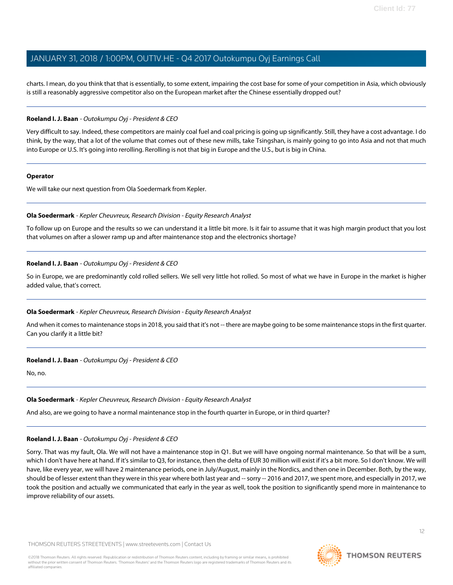charts. I mean, do you think that that is essentially, to some extent, impairing the cost base for some of your competition in Asia, which obviously is still a reasonably aggressive competitor also on the European market after the Chinese essentially dropped out?

### **Roeland I. J. Baan** - Outokumpu Oyj - President & CEO

Very difficult to say. Indeed, these competitors are mainly coal fuel and coal pricing is going up significantly. Still, they have a cost advantage. I do think, by the way, that a lot of the volume that comes out of these new mills, take Tsingshan, is mainly going to go into Asia and not that much into Europe or U.S. It's going into rerolling. Rerolling is not that big in Europe and the U.S., but is big in China.

### **Operator**

<span id="page-11-0"></span>We will take our next question from Ola Soedermark from Kepler.

### **Ola Soedermark** - Kepler Cheuvreux, Research Division - Equity Research Analyst

To follow up on Europe and the results so we can understand it a little bit more. Is it fair to assume that it was high margin product that you lost that volumes on after a slower ramp up and after maintenance stop and the electronics shortage?

### **Roeland I. J. Baan** - Outokumpu Oyj - President & CEO

So in Europe, we are predominantly cold rolled sellers. We sell very little hot rolled. So most of what we have in Europe in the market is higher added value, that's correct.

### **Ola Soedermark** - Kepler Cheuvreux, Research Division - Equity Research Analyst

And when it comes to maintenance stops in 2018, you said that it's not -- there are maybe going to be some maintenance stops in the first quarter. Can you clarify it a little bit?

### **Roeland I. J. Baan** - Outokumpu Oyj - President & CEO

No, no.

### **Ola Soedermark** - Kepler Cheuvreux, Research Division - Equity Research Analyst

And also, are we going to have a normal maintenance stop in the fourth quarter in Europe, or in third quarter?

### **Roeland I. J. Baan** - Outokumpu Oyj - President & CEO

Sorry. That was my fault, Ola. We will not have a maintenance stop in Q1. But we will have ongoing normal maintenance. So that will be a sum, which I don't have here at hand. If it's similar to Q3, for instance, then the delta of EUR 30 million will exist if it's a bit more. So I don't know. We will have, like every year, we will have 2 maintenance periods, one in July/August, mainly in the Nordics, and then one in December. Both, by the way, should be of lesser extent than they were in this year where both last year and -- sorry -- 2016 and 2017, we spent more, and especially in 2017, we took the position and actually we communicated that early in the year as well, took the position to significantly spend more in maintenance to improve reliability of our assets.

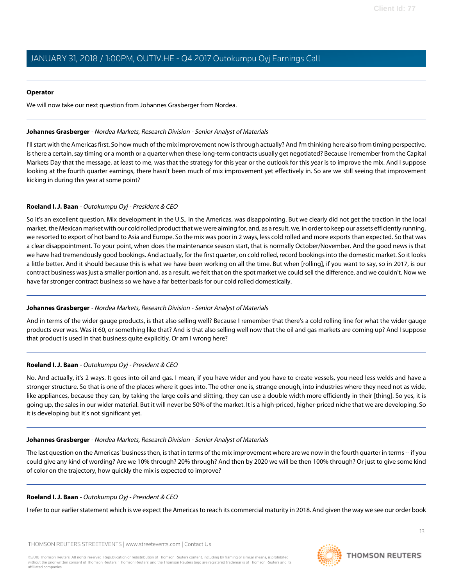### **Operator**

We will now take our next question from Johannes Grasberger from Nordea.

### <span id="page-12-0"></span>**Johannes Grasberger** - Nordea Markets, Research Division - Senior Analyst of Materials

I'll start with the Americas first. So how much of the mix improvement now is through actually? And I'm thinking here also from timing perspective, is there a certain, say timing or a month or a quarter when these long-term contracts usually get negotiated? Because I remember from the Capital Markets Day that the message, at least to me, was that the strategy for this year or the outlook for this year is to improve the mix. And I suppose looking at the fourth quarter earnings, there hasn't been much of mix improvement yet effectively in. So are we still seeing that improvement kicking in during this year at some point?

# **Roeland I. J. Baan** - Outokumpu Oyj - President & CEO

So it's an excellent question. Mix development in the U.S., in the Americas, was disappointing. But we clearly did not get the traction in the local market, the Mexican market with our cold rolled product that we were aiming for, and, as a result, we, in order to keep our assets efficiently running, we resorted to export of hot band to Asia and Europe. So the mix was poor in 2 ways, less cold rolled and more exports than expected. So that was a clear disappointment. To your point, when does the maintenance season start, that is normally October/November. And the good news is that we have had tremendously good bookings. And actually, for the first quarter, on cold rolled, record bookings into the domestic market. So it looks a little better. And it should because this is what we have been working on all the time. But when [rolling], if you want to say, so in 2017, is our contract business was just a smaller portion and, as a result, we felt that on the spot market we could sell the difference, and we couldn't. Now we have far stronger contract business so we have a far better basis for our cold rolled domestically.

# **Johannes Grasberger** - Nordea Markets, Research Division - Senior Analyst of Materials

And in terms of the wider gauge products, is that also selling well? Because I remember that there's a cold rolling line for what the wider gauge products ever was. Was it 60, or something like that? And is that also selling well now that the oil and gas markets are coming up? And I suppose that product is used in that business quite explicitly. Or am I wrong here?

# **Roeland I. J. Baan** - Outokumpu Oyj - President & CEO

No. And actually, it's 2 ways. It goes into oil and gas. I mean, if you have wider and you have to create vessels, you need less welds and have a stronger structure. So that is one of the places where it goes into. The other one is, strange enough, into industries where they need not as wide, like appliances, because they can, by taking the large coils and slitting, they can use a double width more efficiently in their [thing]. So yes, it is going up, the sales in our wider material. But it will never be 50% of the market. It is a high-priced, higher-priced niche that we are developing. So it is developing but it's not significant yet.

# **Johannes Grasberger** - Nordea Markets, Research Division - Senior Analyst of Materials

The last question on the Americas' business then, is that in terms of the mix improvement where are we now in the fourth quarter in terms -- if you could give any kind of wording? Are we 10% through? 20% through? And then by 2020 we will be then 100% through? Or just to give some kind of color on the trajectory, how quickly the mix is expected to improve?

# **Roeland I. J. Baan** - Outokumpu Oyj - President & CEO

I refer to our earlier statement which is we expect the Americas to reach its commercial maturity in 2018. And given the way we see our order book

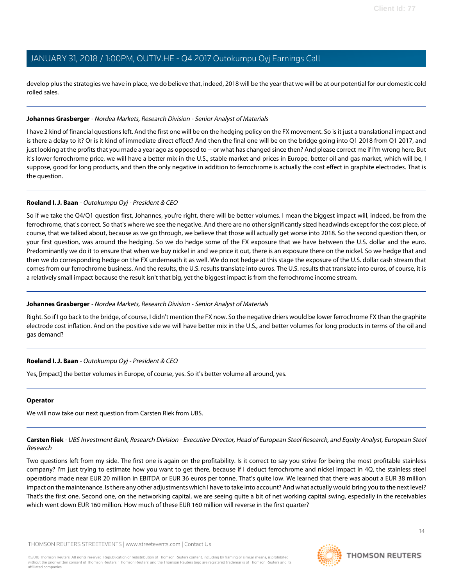develop plus the strategies we have in place, we do believe that, indeed, 2018 will be the year that we will be at our potential for our domestic cold rolled sales.

### **Johannes Grasberger** - Nordea Markets, Research Division - Senior Analyst of Materials

I have 2 kind of financial questions left. And the first one will be on the hedging policy on the FX movement. So is it just a translational impact and is there a delay to it? Or is it kind of immediate direct effect? And then the final one will be on the bridge going into Q1 2018 from Q1 2017, and just looking at the profits that you made a year ago as opposed to -- or what has changed since then? And please correct me if I'm wrong here. But it's lower ferrochrome price, we will have a better mix in the U.S., stable market and prices in Europe, better oil and gas market, which will be, I suppose, good for long products, and then the only negative in addition to ferrochrome is actually the cost effect in graphite electrodes. That is the question.

### **Roeland I. J. Baan** - Outokumpu Oyj - President & CEO

So if we take the Q4/Q1 question first, Johannes, you're right, there will be better volumes. I mean the biggest impact will, indeed, be from the ferrochrome, that's correct. So that's where we see the negative. And there are no other significantly sized headwinds except for the cost piece, of course, that we talked about, because as we go through, we believe that those will actually get worse into 2018. So the second question then, or your first question, was around the hedging. So we do hedge some of the FX exposure that we have between the U.S. dollar and the euro. Predominantly we do it to ensure that when we buy nickel in and we price it out, there is an exposure there on the nickel. So we hedge that and then we do corresponding hedge on the FX underneath it as well. We do not hedge at this stage the exposure of the U.S. dollar cash stream that comes from our ferrochrome business. And the results, the U.S. results translate into euros. The U.S. results that translate into euros, of course, it is a relatively small impact because the result isn't that big, yet the biggest impact is from the ferrochrome income stream.

# **Johannes Grasberger** - Nordea Markets, Research Division - Senior Analyst of Materials

Right. So if I go back to the bridge, of course, I didn't mention the FX now. So the negative driers would be lower ferrochrome FX than the graphite electrode cost inflation. And on the positive side we will have better mix in the U.S., and better volumes for long products in terms of the oil and gas demand?

# **Roeland I. J. Baan** - Outokumpu Oyj - President & CEO

Yes, [impact] the better volumes in Europe, of course, yes. So it's better volume all around, yes.

# <span id="page-13-0"></span>**Operator**

We will now take our next question from Carsten Riek from UBS.

**Carsten Riek** - UBS Investment Bank, Research Division - Executive Director, Head of European Steel Research, and Equity Analyst, European Steel Research

Two questions left from my side. The first one is again on the profitability. Is it correct to say you strive for being the most profitable stainless company? I'm just trying to estimate how you want to get there, because if I deduct ferrochrome and nickel impact in 4Q, the stainless steel operations made near EUR 20 million in EBITDA or EUR 36 euros per tonne. That's quite low. We learned that there was about a EUR 38 million impact on the maintenance. Is there any other adjustments which I have to take into account? And what actually would bring you to the next level? That's the first one. Second one, on the networking capital, we are seeing quite a bit of net working capital swing, especially in the receivables which went down EUR 160 million. How much of these EUR 160 million will reverse in the first quarter?

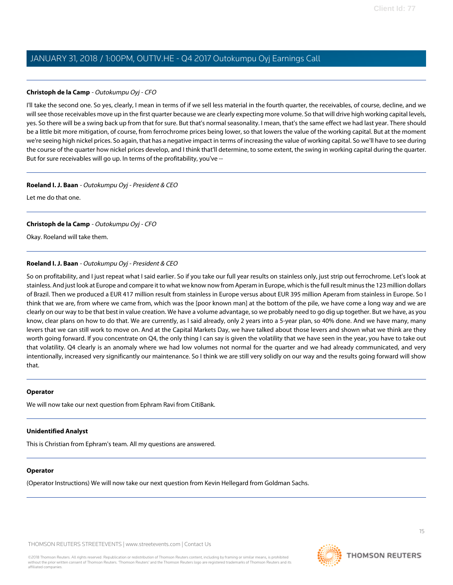### **Christoph de la Camp** - Outokumpu Oyj - CFO

I'll take the second one. So yes, clearly, I mean in terms of if we sell less material in the fourth quarter, the receivables, of course, decline, and we will see those receivables move up in the first quarter because we are clearly expecting more volume. So that will drive high working capital levels, yes. So there will be a swing back up from that for sure. But that's normal seasonality. I mean, that's the same effect we had last year. There should be a little bit more mitigation, of course, from ferrochrome prices being lower, so that lowers the value of the working capital. But at the moment we're seeing high nickel prices. So again, that has a negative impact in terms of increasing the value of working capital. So we'll have to see during the course of the quarter how nickel prices develop, and I think that'll determine, to some extent, the swing in working capital during the quarter. But for sure receivables will go up. In terms of the profitability, you've --

### **Roeland I. J. Baan** - Outokumpu Oyj - President & CEO

Let me do that one.

# **Christoph de la Camp** - Outokumpu Oyj - CFO

Okay. Roeland will take them.

# **Roeland I. J. Baan** - Outokumpu Oyj - President & CEO

So on profitability, and I just repeat what I said earlier. So if you take our full year results on stainless only, just strip out ferrochrome. Let's look at stainless. And just look at Europe and compare it to what we know now from Aperam in Europe, which is the full result minus the 123 million dollars of Brazil. Then we produced a EUR 417 million result from stainless in Europe versus about EUR 395 million Aperam from stainless in Europe. So I think that we are, from where we came from, which was the [poor known man] at the bottom of the pile, we have come a long way and we are clearly on our way to be that best in value creation. We have a volume advantage, so we probably need to go dig up together. But we have, as you know, clear plans on how to do that. We are currently, as I said already, only 2 years into a 5-year plan, so 40% done. And we have many, many levers that we can still work to move on. And at the Capital Markets Day, we have talked about those levers and shown what we think are they worth going forward. If you concentrate on Q4, the only thing I can say is given the volatility that we have seen in the year, you have to take out that volatility. Q4 clearly is an anomaly where we had low volumes not normal for the quarter and we had already communicated, and very intentionally, increased very significantly our maintenance. So I think we are still very solidly on our way and the results going forward will show that.

### **Operator**

We will now take our next question from Ephram Ravi from CitiBank.

# **Unidentified Analyst**

This is Christian from Ephram's team. All my questions are answered.

# **Operator**

(Operator Instructions) We will now take our next question from Kevin Hellegard from Goldman Sachs.